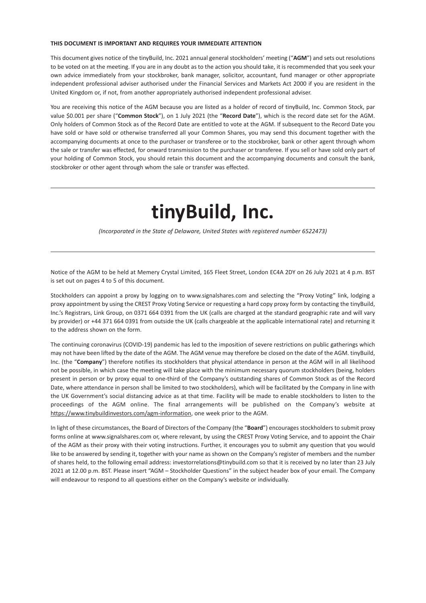#### **THIS DOCUMENT IS IMPORTANT AND REQUIRES YOUR IMMEDIATE ATTENTION**

This document gives notice of the tinyBuild, Inc. 2021 annual general stockholders' meeting ("**AGM**") and sets out resolutions to be voted on at the meeting. If you are in any doubt as to the action you should take, it is recommended that you seek your own advice immediately from your stockbroker, bank manager, solicitor, accountant, fund manager or other appropriate independent professional adviser authorised under the Financial Services and Markets Act 2000 if you are resident in the United Kingdom or, if not, from another appropriately authorised independent professional adviser.

You are receiving this notice of the AGM because you are listed as a holder of record of tinyBuild, Inc. Common Stock, par value \$0.001 per share ("**Common Stock**"), on 1 July 2021 (the "**Record Date**"), which is the record date set for the AGM. Only holders of Common Stock as of the Record Date are entitled to vote at the AGM. If subsequent to the Record Date you have sold or have sold or otherwise transferred all your Common Shares, you may send this document together with the accompanying documents at once to the purchaser or transferee or to the stockbroker, bank or other agent through whom the sale or transfer was effected, for onward transmission to the purchaser or transferee. If you sell or have sold only part of your holding of Common Stock, you should retain this document and the accompanying documents and consult the bank, stockbroker or other agent through whom the sale or transfer was effected.

# **tinyBuild, Inc.**

*(Incorporated in the State of Delaware, United States with registered number 6522473)*

Notice of the AGM to be held at Memery Crystal Limited, 165 Fleet Street, London EC4A 2DY on 26 July 2021 at 4 p.m. BST is set out on pages 4 to 5 of this document.

Stockholders can appoint a proxy by logging on to www.signalshares.com and selecting the "Proxy Voting" link, lodging a proxy appointment by using the CREST Proxy Voting Service or requesting a hard copy proxy form by contacting the tinyBuild, Inc.'s Registrars, Link Group, on 0371 664 0391 from the UK (calls are charged at the standard geographic rate and will vary by provider) or +44 371 664 0391 from outside the UK (calls chargeable at the applicable international rate) and returning it to the address shown on the form.

The continuing coronavirus (COVID-19) pandemic has led to the imposition of severe restrictions on public gatherings which may not have been lifted by the date of the AGM. The AGM venue may therefore be closed on the date of the AGM. tinyBuild, Inc. (the "**Company**") therefore notifies its stockholders that physical attendance in person at the AGM will in all likelihood not be possible, in which case the meeting will take place with the minimum necessary quorum stockholders (being, holders present in person or by proxy equal to one-third of the Company's outstanding shares of Common Stock as of the Record Date, where attendance in person shall be limited to two stockholders), which will be facilitated by the Company in line with the UK Government's social distancing advice as at that time. Facility will be made to enable stockholders to listen to the proceedings of the AGM online. The final arrangements will be published on the Company's website at https://www.tinybuildinvestors.com/agm-information, one week prior to the AGM.

In light of these circumstances, the Board of Directors of the Company (the "**Board**") encourages stockholders to submit proxy forms online at www.signalshares.com or, where relevant, by using the CREST Proxy Voting Service, and to appoint the Chair of the AGM as their proxy with their voting instructions. Further, it encourages you to submit any question that you would like to be answered by sending it, together with your name as shown on the Company's register of members and the number of shares held, to the following email address: investorrelations@tinybuild.com so that it is received by no later than 23 July 2021 at 12.00 p.m. BST. Please insert "AGM – Stockholder Questions" in the subject header box of your email. The Company will endeavour to respond to all questions either on the Company's website or individually.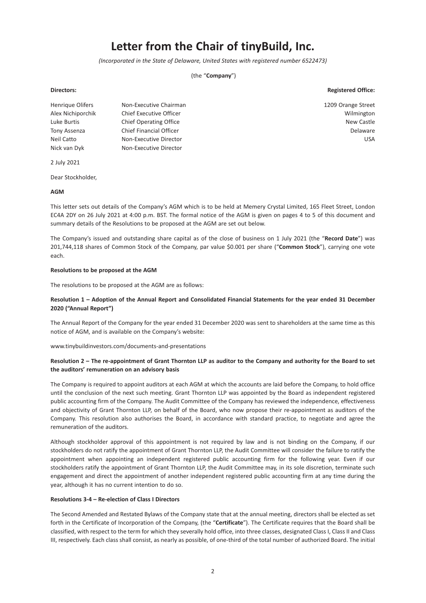## **Letter from the Chair of tinyBuild, Inc.**

*(Incorporated in the State of Delaware, United States with registered number 6522473)*

(the "**Company**")

#### **Directors: Registered Office:**

Henrique Olifers Non-Executive Chairman 1209 Orange Street Alex Nichiporchik Chief Executive Officer Wilmington Luke Burtis **Chief Operating Office** Chief Chief Chief Chief Chief Chief Chief Chief Chief Chief Chief Chief Chief Chief Chief Chief Chief Chief Chief Chief Chief Chief Chief Chief Chief Chief Chief Chief Chief Chief Chief Tony Assenza Chief Financial Officer Chief Chief Chief Chief Chief Chief Chief Chief Chief Chief Chief Chief Chief Chief Chief Chief Chief Chief Chief Chief Chief Chief Chief Chief Chief Chief Chief Chief Chief Chief Chief Neil Catto Non-Executive Director USA Nick van Dyk Non-Executive Director

2 July 2021

Dear Stockholder,

#### **AGM**

This letter sets out details of the Company's AGM which is to be held at Memery Crystal Limited, 165 Fleet Street, London EC4A 2DY on 26 July 2021 at 4:00 p.m. BST. The formal notice of the AGM is given on pages 4 to 5 of this document and summary details of the Resolutions to be proposed at the AGM are set out below.

The Company's issued and outstanding share capital as of the close of business on 1 July 2021 (the "**Record Date**") was 201,744,118 shares of Common Stock of the Company, par value \$0.001 per share ("**Common Stock**"), carrying one vote each.

#### **Resolutions to be proposed at the AGM**

The resolutions to be proposed at the AGM are as follows:

#### **Resolution 1 – Adoption of the Annual Report and Consolidated Financial Statements for the year ended 31 December 2020 ("Annual Report")**

The Annual Report of the Company for the year ended 31 December 2020 was sent to shareholders at the same time as this notice of AGM, and is available on the Company's website:

www.tinybuildinvestors.com/documents-and-presentations

#### **Resolution 2 – The re-appointment of Grant Thornton LLP as auditor to the Company and authority for the Board to set the auditors' remuneration on an advisory basis**

The Company is required to appoint auditors at each AGM at which the accounts are laid before the Company, to hold office until the conclusion of the next such meeting. Grant Thornton LLP was appointed by the Board as independent registered public accounting firm of the Company. The Audit Committee of the Company has reviewed the independence, effectiveness and objectivity of Grant Thornton LLP, on behalf of the Board, who now propose their re-appointment as auditors of the Company. This resolution also authorises the Board, in accordance with standard practice, to negotiate and agree the remuneration of the auditors.

Although stockholder approval of this appointment is not required by law and is not binding on the Company, if our stockholders do not ratify the appointment of Grant Thornton LLP, the Audit Committee will consider the failure to ratify the appointment when appointing an independent registered public accounting firm for the following year. Even if our stockholders ratify the appointment of Grant Thornton LLP, the Audit Committee may, in its sole discretion, terminate such engagement and direct the appointment of another independent registered public accounting firm at any time during the year, although it has no current intention to do so.

#### **Resolutions 3-4 – Re-election of Class I Directors**

The Second Amended and Restated Bylaws of the Company state that at the annual meeting, directors shall be elected as set forth in the Certificate of Incorporation of the Company, (the "**Certificate**"). The Certificate requires that the Board shall be classified, with respect to the term for which they severally hold office, into three classes, designated Class I, Class II and Class III, respectively. Each class shall consist, as nearly as possible, of one-third of the total number of authorized Board. The initial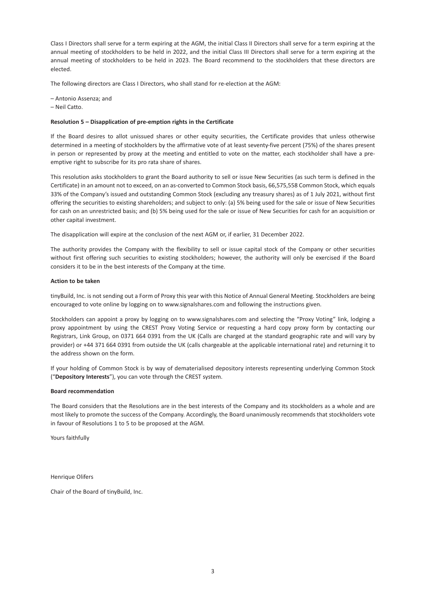Class I Directors shall serve for a term expiring at the AGM, the initial Class II Directors shall serve for a term expiring at the annual meeting of stockholders to be held in 2022, and the initial Class III Directors shall serve for a term expiring at the annual meeting of stockholders to be held in 2023. The Board recommend to the stockholders that these directors are elected.

The following directors are Class I Directors, who shall stand for re-election at the AGM:

- Antonio Assenza; and
- Neil Catto.

#### **Resolution 5 – Disapplication of pre-emption rights in the Certificate**

If the Board desires to allot unissued shares or other equity securities, the Certificate provides that unless otherwise determined in a meeting of stockholders by the affirmative vote of at least seventy-five percent (75%) of the shares present in person or represented by proxy at the meeting and entitled to vote on the matter, each stockholder shall have a preemptive right to subscribe for its pro rata share of shares.

This resolution asks stockholders to grant the Board authority to sell or issue New Securities (as such term is defined in the Certificate) in an amount not to exceed, on an as-converted to Common Stock basis, 66,575,558 Common Stock, which equals 33% of the Company's issued and outstanding Common Stock (excluding any treasury shares) as of 1 July 2021, without first offering the securities to existing shareholders; and subject to only: (a) 5% being used for the sale or issue of New Securities for cash on an unrestricted basis; and (b) 5% being used for the sale or issue of New Securities for cash for an acquisition or other capital investment.

The disapplication will expire at the conclusion of the next AGM or, if earlier, 31 December 2022.

The authority provides the Company with the flexibility to sell or issue capital stock of the Company or other securities without first offering such securities to existing stockholders; however, the authority will only be exercised if the Board considers it to be in the best interests of the Company at the time.

#### **Action to be taken**

tinyBuild, Inc. is not sending out a Form of Proxy this year with this Notice of Annual General Meeting. Stockholders are being encouraged to vote online by logging on to www.signalshares.com and following the instructions given.

Stockholders can appoint a proxy by logging on to www.signalshares.com and selecting the "Proxy Voting" link, lodging a proxy appointment by using the CREST Proxy Voting Service or requesting a hard copy proxy form by contacting our Registrars, Link Group, on 0371 664 0391 from the UK (Calls are charged at the standard geographic rate and will vary by provider) or +44 371 664 0391 from outside the UK (calls chargeable at the applicable international rate) and returning it to the address shown on the form.

If your holding of Common Stock is by way of dematerialised depository interests representing underlying Common Stock ("**Depository Interests**"), you can vote through the CREST system.

#### **Board recommendation**

The Board considers that the Resolutions are in the best interests of the Company and its stockholders as a whole and are most likely to promote the success of the Company. Accordingly, the Board unanimously recommends that stockholders vote in favour of Resolutions 1 to 5 to be proposed at the AGM.

Yours faithfully

Henrique Olifers

Chair of the Board of tinyBuild, Inc.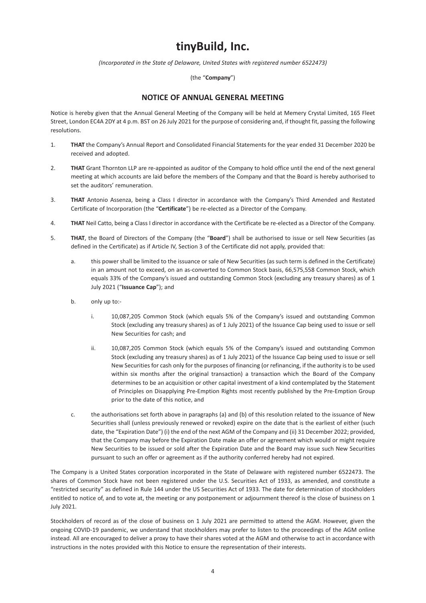### **tinyBuild, Inc.**

*(Incorporated in the State of Delaware, United States with registered number 6522473)*

(the "**Company**")

### **NOTICE OF ANNUAL GENERAL MEETING**

Notice is hereby given that the Annual General Meeting of the Company will be held at Memery Crystal Limited, 165 Fleet Street, London EC4A 2DY at 4 p.m. BST on 26 July 2021 for the purpose of considering and, if thought fit, passing the following resolutions.

- 1. **THAT** the Company's Annual Report and Consolidated Financial Statements for the year ended 31 December 2020 be received and adopted.
- 2. **THAT** Grant Thornton LLP are re-appointed as auditor of the Company to hold office until the end of the next general meeting at which accounts are laid before the members of the Company and that the Board is hereby authorised to set the auditors' remuneration.
- 3. **THAT** Antonio Assenza, being a Class I director in accordance with the Company's Third Amended and Restated Certificate of Incorporation (the "**Certificate**") be re-elected as a Director of the Company.
- 4. **THAT** Neil Catto, being a Class I director in accordance with the Certificate be re-elected as a Director of the Company.
- 5. **THAT**, the Board of Directors of the Company (the "**Board**") shall be authorised to issue or sell New Securities (as defined in the Certificate) as if Article IV, Section 3 of the Certificate did not apply, provided that:
	- a. this power shall be limited to the issuance or sale of New Securities (as such term is defined in the Certificate) in an amount not to exceed, on an as-converted to Common Stock basis, 66,575,558 Common Stock, which equals 33% of the Company's issued and outstanding Common Stock (excluding any treasury shares) as of 1 July 2021 ("**Issuance Cap**"); and
	- b. only up to:
		- i. 10,087,205 Common Stock (which equals 5% of the Company's issued and outstanding Common Stock (excluding any treasury shares) as of 1 July 2021) of the Issuance Cap being used to issue or sell New Securities for cash; and
		- ii. 10,087,205 Common Stock (which equals 5% of the Company's issued and outstanding Common Stock (excluding any treasury shares) as of 1 July 2021) of the Issuance Cap being used to issue or sell New Securities for cash only for the purposes of financing (or refinancing, if the authority is to be used within six months after the original transaction) a transaction which the Board of the Company determines to be an acquisition or other capital investment of a kind contemplated by the Statement of Principles on Disapplying Pre-Emption Rights most recently published by the Pre-Emption Group prior to the date of this notice, and
	- c. the authorisations set forth above in paragraphs (a) and (b) of this resolution related to the issuance of New Securities shall (unless previously renewed or revoked) expire on the date that is the earliest of either (such date, the "Expiration Date") (i) the end of the next AGM of the Company and (ii) 31 December 2022; provided, that the Company may before the Expiration Date make an offer or agreement which would or might require New Securities to be issued or sold after the Expiration Date and the Board may issue such New Securities pursuant to such an offer or agreement as if the authority conferred hereby had not expired.

The Company is a United States corporation incorporated in the State of Delaware with registered number 6522473. The shares of Common Stock have not been registered under the U.S. Securities Act of 1933, as amended, and constitute a "restricted security" as defined in Rule 144 under the US Securities Act of 1933. The date for determination of stockholders entitled to notice of, and to vote at, the meeting or any postponement or adjournment thereof is the close of business on 1 July 2021.

Stockholders of record as of the close of business on 1 July 2021 are permitted to attend the AGM. However, given the ongoing COVID-19 pandemic, we understand that stockholders may prefer to listen to the proceedings of the AGM online instead. All are encouraged to deliver a proxy to have their shares voted at the AGM and otherwise to act in accordance with instructions in the notes provided with this Notice to ensure the representation of their interests.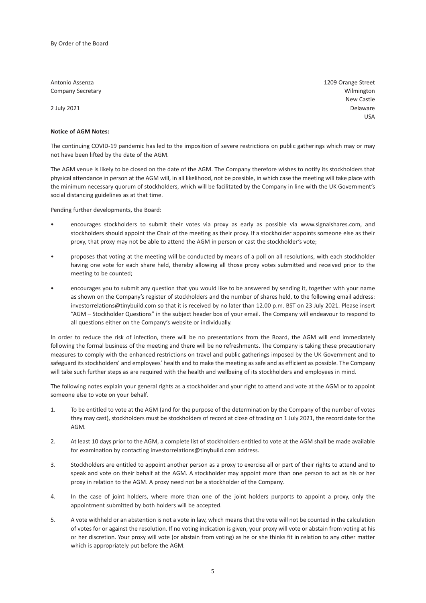**Company Secretary Company Secretary Company Secretary Company Secretary Company Secretary Company Secretary Company Secretary Company Secretary Company Secretary Company Secretary Company Secretary Company Secretary Compa** 

#### **Notice of AGM Notes:**

The continuing COVID-19 pandemic has led to the imposition of severe restrictions on public gatherings which may or may not have been lifted by the date of the AGM.

The AGM venue is likely to be closed on the date of the AGM. The Company therefore wishes to notify its stockholders that physical attendance in person at the AGM will, in all likelihood, not be possible, in which case the meeting will take place with the minimum necessary quorum of stockholders, which will be facilitated by the Company in line with the UK Government's social distancing guidelines as at that time.

Pending further developments, the Board:

- encourages stockholders to submit their votes via proxy as early as possible via www.signalshares.com, and stockholders should appoint the Chair of the meeting as their proxy. If a stockholder appoints someone else as their proxy, that proxy may not be able to attend the AGM in person or cast the stockholder's vote;
- proposes that voting at the meeting will be conducted by means of a poll on all resolutions, with each stockholder having one vote for each share held, thereby allowing all those proxy votes submitted and received prior to the meeting to be counted;
- encourages you to submit any question that you would like to be answered by sending it, together with your name as shown on the Company's register of stockholders and the number of shares held, to the following email address: investorrelations@tinybuild.com so that it is received by no later than 12.00 p.m. BST on 23 July 2021. Please insert "AGM – Stockholder Questions" in the subject header box of your email. The Company will endeavour to respond to all questions either on the Company's website or individually.

In order to reduce the risk of infection, there will be no presentations from the Board, the AGM will end immediately following the formal business of the meeting and there will be no refreshments. The Company is taking these precautionary measures to comply with the enhanced restrictions on travel and public gatherings imposed by the UK Government and to safeguard its stockholders' and employees' health and to make the meeting as safe and as efficient as possible. The Company will take such further steps as are required with the health and wellbeing of its stockholders and employees in mind.

The following notes explain your general rights as a stockholder and your right to attend and vote at the AGM or to appoint someone else to vote on your behalf.

- 1. To be entitled to vote at the AGM (and for the purpose of the determination by the Company of the number of votes they may cast), stockholders must be stockholders of record at close of trading on 1 July 2021, the record date for the AGM.
- 2. At least 10 days prior to the AGM, a complete list of stockholders entitled to vote at the AGM shall be made available for examination by contacting investorrelations@tinybuild.com address.
- 3. Stockholders are entitled to appoint another person as a proxy to exercise all or part of their rights to attend and to speak and vote on their behalf at the AGM. A stockholder may appoint more than one person to act as his or her proxy in relation to the AGM. A proxy need not be a stockholder of the Company.
- 4. In the case of joint holders, where more than one of the joint holders purports to appoint a proxy, only the appointment submitted by both holders will be accepted.
- 5. A vote withheld or an abstention is not a vote in law, which means that the vote will not be counted in the calculation of votes for or against the resolution. If no voting indication is given, your proxy will vote or abstain from voting at his or her discretion. Your proxy will vote (or abstain from voting) as he or she thinks fit in relation to any other matter which is appropriately put before the AGM.

Antonio Assenza 1209 Orange Street New Castle 2 July 2021 Delaware USA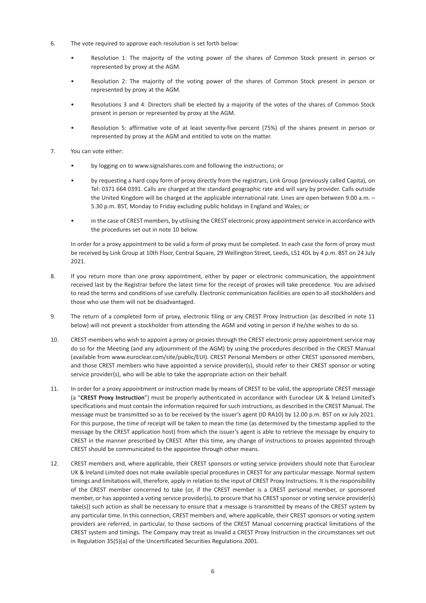- 6. The vote required to approve each resolution is set forth below:
	- Resolution 1: The majority of the voting power of the shares of Common Stock present in person or represented by proxy at the AGM.
	- Resolution 2: The majority of the voting power of the shares of Common Stock present in person or represented by proxy at the AGM.
	- Resolutions 3 and 4: Directors shall be elected by a majority of the votes of the shares of Common Stock present in person or represented by proxy at the AGM.
	- Resolution 5: affirmative vote of at least seventy-five percent (75%) of the shares present in person or represented by proxy at the AGM and entitled to vote on the matter.
- 7. You can vote either:
	- by logging on to www.signalshares.com and following the instructions; or
	- by requesting a hard copy form of proxy directly from the registrars, Link Group (previously called Capita), on Tel: 0371 664 0391. Calls are charged at the standard geographic rate and will vary by provider. Calls outside the United Kingdom will be charged at the applicable international rate. Lines are open between 9.00 a.m. – 5.30 p.m. BST, Monday to Friday excluding public holidays in England and Wales; or
	- in the case of CREST members, by utilising the CREST electronic proxy appointment service in accordance with the procedures set out in note 10 below.

In order for a proxy appointment to be valid a form of proxy must be completed. In each case the form of proxy must be received by Link Group at 10th Floor, Central Square, 29 Wellington Street, Leeds, LS1 4DL by 4 p.m. BST on 24 July 2021.

- 8. If you return more than one proxy appointment, either by paper or electronic communication, the appointment received last by the Registrar before the latest time for the receipt of proxies will take precedence. You are advised to read the terms and conditions of use carefully. Electronic communication facilities are open to all stockholders and those who use them will not be disadvantaged.
- 9. The return of a completed form of proxy, electronic filing or any CREST Proxy Instruction (as described in note 11 below) will not prevent a stockholder from attending the AGM and voting in person if he/she wishes to do so.
- 10. CREST members who wish to appoint a proxy or proxies through the CREST electronic proxy appointment service may do so for the Meeting (and any adjournment of the AGM) by using the procedures described in the CREST Manual (available from www.euroclear.com/site/public/EUI). CREST Personal Members or other CREST sponsored members, and those CREST members who have appointed a service provider(s), should refer to their CREST sponsor or voting service provider(s), who will be able to take the appropriate action on their behalf.
- 11. In order for a proxy appointment or instruction made by means of CREST to be valid, the appropriate CREST message (a "**CREST Proxy Instruction**") must be properly authenticated in accordance with Euroclear UK & Ireland Limited's specifications and must contain the information required for such instructions, as described in the CREST Manual. The message must be transmitted so as to be received by the issuer's agent (ID RA10) by 12.00 p.m. BST on xx July 2021. For this purpose, the time of receipt will be taken to mean the time (as determined by the timestamp applied to the message by the CREST application host) from which the issuer's agent is able to retrieve the message by enquiry to CREST in the manner prescribed by CREST. After this time, any change of instructions to proxies appointed through CREST should be communicated to the appointee through other means.
- 12. CREST members and, where applicable, their CREST sponsors or voting service providers should note that Euroclear UK & Ireland Limited does not make available special procedures in CREST for any particular message. Normal system timings and limitations will, therefore, apply in relation to the input of CREST Proxy Instructions. It is the responsibility of the CREST member concerned to take (or, if the CREST member is a CREST personal member, or sponsored member, or has appointed a voting service provider(s), to procure that his CREST sponsor or voting service provider(s) take(s)) such action as shall be necessary to ensure that a message is transmitted by means of the CREST system by any particular time. In this connection, CREST members and, where applicable, their CREST sponsors or voting system providers are referred, in particular, to those sections of the CREST Manual concerning practical limitations of the CREST system and timings. The Company may treat as invalid a CREST Proxy Instruction in the circumstances set out in Regulation 35(5)(a) of the Uncertificated Securities Regulations 2001.